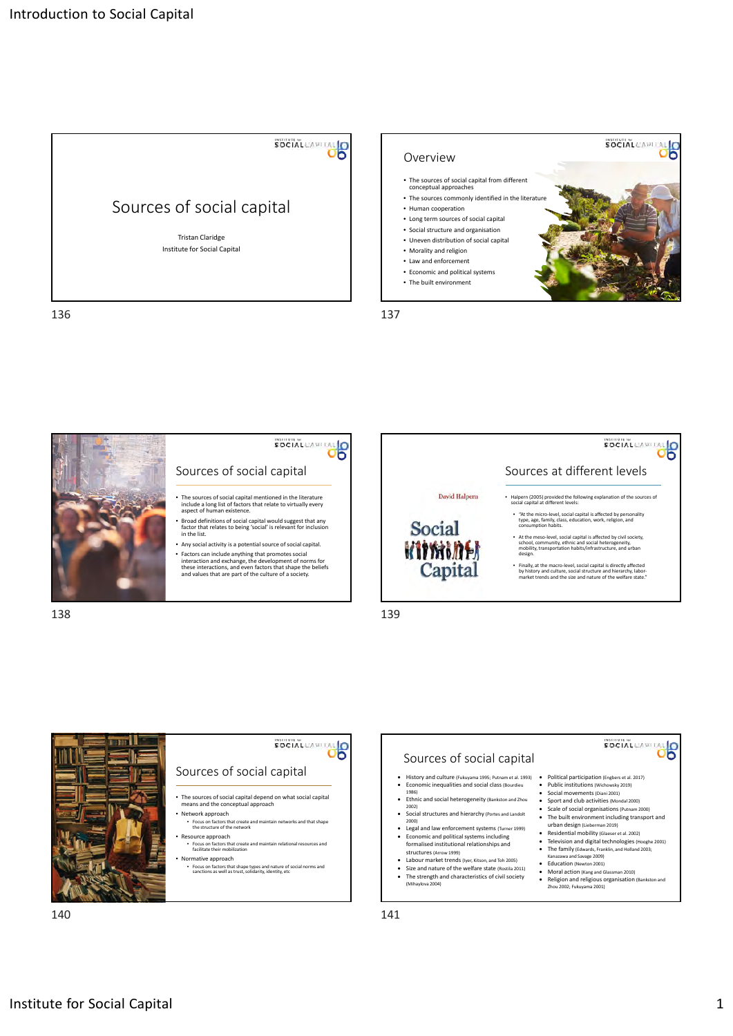





140 141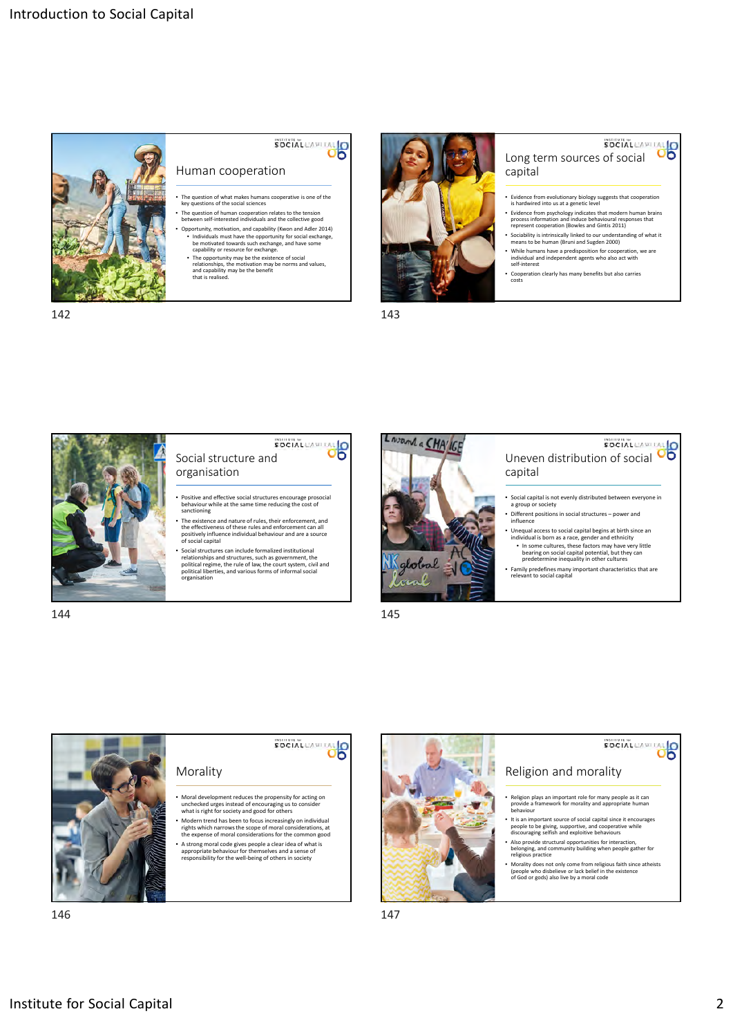

# SOCIAL CAPITAL O

- Human cooperation
- The question of what makes humans cooperative is one of the key questions of the social sciences
- The question of human cooperation relates to the tension between self‐interested individuals and the collective good
- Opportunity, motivation, and capability (Kwon and Adler 2014) • Individuals must have the opportunity for social exchange, be motivated towards such exchange, and have some capability or resource for exchange.
- The opportunity may be the existence of social relationships, the motivation may be norms and values, and capability may be the benefit that is realised.



142 143

## **CONGRETIVE SOCIAL CAPTER 10**<br>Long term sources of social capital

- Evidence from evolutionary biology suggests that cooperation is hardwired into us at a genetic level
- Evidence from psychology indicates that modern human brains process information and induce behavioural responses that represent cooperation (Bowles and Gintis 2011)
- Sociability is intrinsically linked to our understanding of what it means to be human (Bruni and Sugden 2000)
- While humans have a predisposition for cooperation, we are individual and independent agents who also act with self‐interest • Cooperation clearly has many benefits but also carries
- cos



Social structure and organisation

- Positive and effective social structures encourage prosocial behaviour while at the same time reducing the cost of sanctioning
- The existence and nature of rules, their enforcement, and the effectiveness of these rules and enforcement can all positively influence individual behaviour and are a source of social capital
- Social structures can include formalized institutional relationships and structures, such as government, the political regime, the rule of law, the court system, civil and political liberties, and various forms of informal social<br>organisation



Social Caputat<br>Uneven distribution of social OO capital

- Social capital is not evenly distributed between everyone in a group or society
- Different positions in social structures power and influence
- Unequal access to social capital begins at birth since are<br>individual is born as a race, gender and ethnicity<br>• In some cultures, these factors may have very little<br>bearing on social capital potential, but they can<br>prede
- Family predefines many important characteristics that are relevant to social capital

144 145



146 147

### **Institute for Social Capital 2**